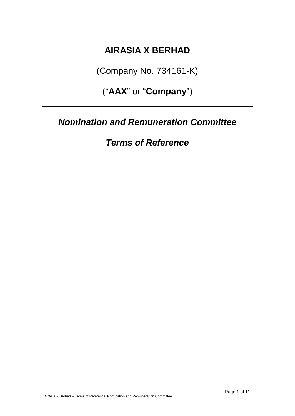## **AIRASIA X BERHAD**

(Company No. 734161-K)

("**AAX**" or "**Company**")

*Nomination and Remuneration Committee*

*Terms of Reference*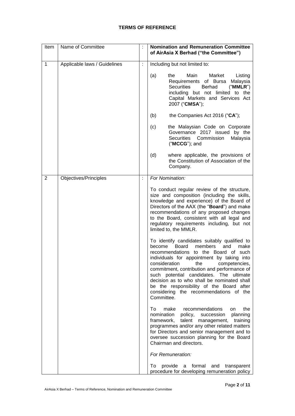## **TERMS OF REFERENCE**

| Item         | Name of Committee            |                | <b>Nomination and Remuneration Committee</b><br>of AirAsia X Berhad ("the Committee")                                                                                                                                                                                                                                                                                                                                                                                        |
|--------------|------------------------------|----------------|------------------------------------------------------------------------------------------------------------------------------------------------------------------------------------------------------------------------------------------------------------------------------------------------------------------------------------------------------------------------------------------------------------------------------------------------------------------------------|
| $\mathbf{1}$ | Applicable laws / Guidelines | ÷              | Including but not limited to:                                                                                                                                                                                                                                                                                                                                                                                                                                                |
|              |                              |                | (a)<br>Main<br>Market<br>the<br>Listing<br>Requirements of Bursa Malaysia<br><b>Securities</b><br><b>Berhad</b><br>("MMLR")<br>including but not limited to the<br>Capital Markets and Services Act<br>2007 ("CMSA");                                                                                                                                                                                                                                                        |
|              |                              |                | the Companies Act 2016 ("CA");<br>(b)                                                                                                                                                                                                                                                                                                                                                                                                                                        |
|              |                              |                | the Malaysian Code on Corporate<br>(c)<br>Governance 2017 issued by the<br>Securities Commission<br>Malaysia<br>$("MCCG")$ ; and                                                                                                                                                                                                                                                                                                                                             |
|              |                              |                | (d)<br>where applicable, the provisions of<br>the Constitution of Association of the<br>Company.                                                                                                                                                                                                                                                                                                                                                                             |
| 2            | Objectives/Principles        | $\ddot{\cdot}$ | For Nomination:                                                                                                                                                                                                                                                                                                                                                                                                                                                              |
|              |                              |                | To conduct regular review of the structure,<br>size and composition (including the skills,<br>knowledge and experience) of the Board of<br>Directors of the AAX (the "Board") and make<br>recommendations of any proposed changes<br>to the Board, consistent with all legal and<br>regulatory requirements including, but not<br>limited to, the MMLR.                                                                                                                      |
|              |                              |                | To identify candidates suitably qualified to<br>become<br><b>Board</b><br>members<br>and<br>make<br>recommendations to the Board of such<br>individuals for appointment by taking into<br>consideration<br>the<br>competencies,<br>commitment, contribution and performance of<br>such potential candidates. The ultimate<br>decision as to who shall be nominated shall<br>be the responsibility of the Board after<br>considering the recommendations of the<br>Committee. |
|              |                              |                | the<br>make<br>recommendations<br>To<br>on<br>planning<br>nomination<br>policy, succession<br>framework, talent management,<br>training<br>programmes and/or any other related matters<br>for Directors and senior management and to<br>oversee succession planning for the Board<br>Chairman and directors.                                                                                                                                                                 |
|              |                              |                | For Remuneration:                                                                                                                                                                                                                                                                                                                                                                                                                                                            |
|              |                              |                | provide a formal and transparent<br>To<br>procedure for developing remuneration policy                                                                                                                                                                                                                                                                                                                                                                                       |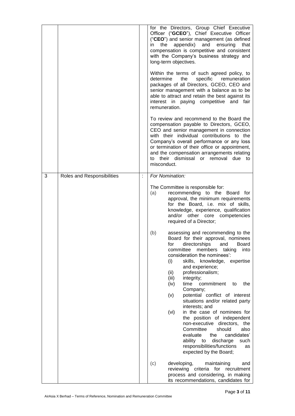|  | for the Directors, Group Chief Executive<br>Officer ("GCEO"), Chief Executive Officer<br>("CEO") and senior management (as defined<br>appendix) and ensuring<br>the<br>in<br>that<br>compensation is competitive and consistent<br>with the Company's business strategy and<br>long-term objectives.<br>Within the terms of such agreed policy, to<br>determine<br>the<br>specific<br>remuneration<br>packages of all Directors, GCEO, CEO and<br>senior management with a balance as to be<br>able to attract and retain the best against its<br>interest in paying competitive and fair<br>remuneration.<br>To review and recommend to the Board the<br>compensation payable to Directors, GCEO,<br>CEO and senior management in connection<br>with their individual contributions to the<br>Company's overall performance or any loss<br>or termination of their office or appointment,<br>and the compensation arrangements relating<br>their dismissal or removal due to<br>to<br>misconduct. |
|--|----------------------------------------------------------------------------------------------------------------------------------------------------------------------------------------------------------------------------------------------------------------------------------------------------------------------------------------------------------------------------------------------------------------------------------------------------------------------------------------------------------------------------------------------------------------------------------------------------------------------------------------------------------------------------------------------------------------------------------------------------------------------------------------------------------------------------------------------------------------------------------------------------------------------------------------------------------------------------------------------------|
|  | The Committee is responsible for:<br>recommending to the Board for<br>(a)<br>approval, the minimum requirements<br>for the Board, i.e. mix of skills,<br>knowledge, experience, qualification<br>and/or other core competencies<br>required of a Director;<br>assessing and recommending to the<br>(b)<br>Board for their approval, nominees<br>directorships and Board<br>for<br>committee<br>members taking<br>into<br>consideration the nominees':<br>skills, knowledge, expertise<br>(i)<br>and experience;<br>professionalism;<br>(ii)<br>(iii)<br>integrity;<br>time<br>commitment<br>(iv)<br>the<br>to<br>Company;                                                                                                                                                                                                                                                                                                                                                                          |
|  | potential conflict of interest<br>(v)<br>situations and/or related party<br>interests; and<br>in the case of nominees for<br>(vi)<br>the position of independent<br>non-executive directors, the<br>Committee<br>should<br>also<br>evaluate<br>candidates'<br>the<br>ability to<br>discharge<br>such<br>responsibilities/functions<br>as<br>expected by the Board;<br>developing,<br>(c)<br>maintaining<br>and<br>reviewing criteria for recruitment<br>process and considering, in making<br>its recommendations, candidates for                                                                                                                                                                                                                                                                                                                                                                                                                                                                  |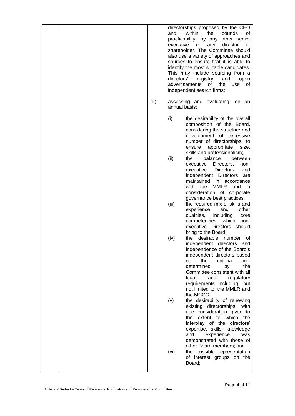|  | (d) | directorships proposed by the CEO<br>and,<br>within<br>the<br>bounds<br>οf<br>practicability, by any<br>other senior<br>executive<br>or<br>any<br>director<br>or<br>shareholder. The Committee should<br>also use a variety of approaches and<br>sources to ensure that it is able to<br>identify the most suitable candidates.<br>This may include sourcing from a<br>directors'<br>registry<br>and<br>open<br>advertisements<br>the<br>or<br>use<br>οf<br>independent search firms;<br>assessing and evaluating, on an<br>annual basis: |
|--|-----|-------------------------------------------------------------------------------------------------------------------------------------------------------------------------------------------------------------------------------------------------------------------------------------------------------------------------------------------------------------------------------------------------------------------------------------------------------------------------------------------------------------------------------------------|
|  |     | (i)<br>the desirability of the overall<br>composition of the Board,<br>considering the structure and<br>development of excessive<br>number of directorships, to<br>appropriate<br>ensure<br>size.<br>skills and professionalism;<br>(ii)<br>balance<br>between<br>the<br>executive<br>Directors,<br>non-<br>executive<br><b>Directors</b><br>and<br>independent Directors are<br>maintained<br>in<br>accordance<br>with<br>the<br>MMLR<br>and<br>in.                                                                                      |
|  |     | consideration of corporate<br>governance best practices;<br>(iii)<br>the required mix of skills and<br>experience<br>other<br>and<br>qualities,<br>including<br>core<br>competencies, which<br>non-<br>executive Directors should<br>bring to the Board;<br>desirable<br>number of<br>(iv)<br>the<br>independent directors and<br>independence of the Board's<br>independent directors based<br>the<br>criteria<br>on<br>pre-<br>determined<br>by<br>the                                                                                  |
|  |     | Committee consistent with all<br>legal<br>and<br>regulatory<br>requirements including, but<br>not limited to, the MMLR and<br>the MCCG;<br>the desirability of renewing<br>(v)<br>existing directorships, with<br>due consideration given to<br>the extent to which<br>the<br>interplay of the directors'<br>expertise, skills, knowledge<br>and<br>experience<br>was                                                                                                                                                                     |
|  |     | demonstrated with those of<br>other Board members; and<br>the possible representation<br>(vi)<br>of interest groups on the<br>Board;                                                                                                                                                                                                                                                                                                                                                                                                      |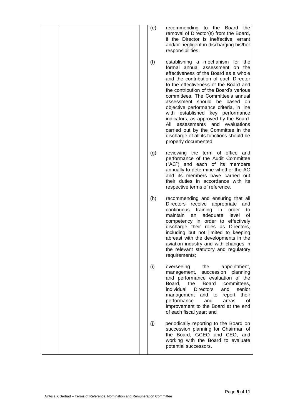|  | (e) | recommending to the Board the<br>removal of Director(s) from the Board,<br>if the Director is ineffective, errant<br>and/or negligent in discharging his/her<br>responsibilities;                                                                                                                                                                                                                                                                                                                                                                                                               |
|--|-----|-------------------------------------------------------------------------------------------------------------------------------------------------------------------------------------------------------------------------------------------------------------------------------------------------------------------------------------------------------------------------------------------------------------------------------------------------------------------------------------------------------------------------------------------------------------------------------------------------|
|  | (f) | establishing a mechanism for the<br>formal annual assessment on the<br>effectiveness of the Board as a whole<br>and the contribution of each Director<br>to the effectiveness of the Board and<br>the contribution of the Board's various<br>committees. The Committee's annual<br>assessment should be based on<br>objective performance criteria, in line<br>with established key performance<br>indicators, as approved by the Board.<br>All<br>assessments<br>and<br>evaluations<br>carried out by the Committee in the<br>discharge of all its functions should be<br>properly documented; |
|  | (g) | reviewing the term of office and<br>performance of the Audit Committee<br>("AC") and each of its members<br>annually to determine whether the AC<br>and its members have carried out<br>their duties in accordance with its<br>respective terms of reference.                                                                                                                                                                                                                                                                                                                                   |
|  | (h) | recommending and ensuring that all<br>Directors receive appropriate and<br>continuous<br>training<br>in<br>order<br>to<br>maintain<br>adequate<br>an<br>level<br>οf<br>competency in order to effectively<br>discharge their roles as Directors,<br>including but not limited to keeping<br>abreast with the developments in the<br>aviation industry and with changes in<br>the relevant statutory and regulatory<br>requirements;                                                                                                                                                             |
|  | (i) | the<br>overseeing<br>appointment,<br>management,<br>succession planning<br>and performance evaluation of the<br>Board, the<br>Board<br>committees,<br>individual<br>Directors<br>and<br>senior<br>management and to report their<br>performance<br>and<br>areas<br>οf<br>improvement to the Board at the end<br>of each fiscal year; and                                                                                                                                                                                                                                                        |
|  | (j) | periodically reporting to the Board on<br>succession planning for Chairman of<br>the Board, GCEO and CEO, and<br>working with the Board to evaluate<br>potential successors.                                                                                                                                                                                                                                                                                                                                                                                                                    |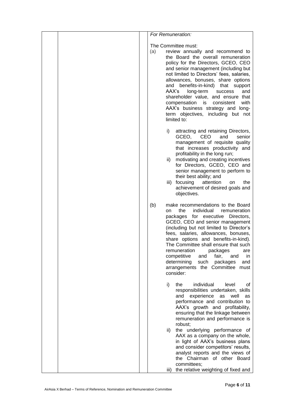| For Remuneration:                                                                                                                                                                                                                                                                                                                                                                                                                                                                                                                                                 |
|-------------------------------------------------------------------------------------------------------------------------------------------------------------------------------------------------------------------------------------------------------------------------------------------------------------------------------------------------------------------------------------------------------------------------------------------------------------------------------------------------------------------------------------------------------------------|
| The Committee must:<br>review annually and recommend to<br>(a)<br>the Board the overall remuneration<br>policy for the Directors, GCEO, CEO<br>and senior management (including but<br>not limited to Directors' fees, salaries,<br>allowances, bonuses, share options<br>and benefits-in-kind) that support<br>AAX's<br>long-term<br>and<br>success<br>shareholder value, and ensure that<br>compensation is consistent<br>with<br>AAX's business strategy and long-<br>term objectives, including but not<br>limited to:                                        |
| i)<br>attracting and retaining Directors,<br>GCEO,<br>and<br>CEO<br>senior<br>management of requisite quality<br>that increases productivity and<br>profitability in the long run;<br>motivating and creating incentives<br>ii)<br>for Directors, GCEO, CEO and<br>senior management to perform to<br>their best ability; and<br>iii) focusing<br>attention<br>the<br>on<br>achievement of desired goals and<br>objectives.                                                                                                                                       |
| make recommendations to the Board<br>(b)<br>individual<br>the<br>remuneration<br>on<br>packages for executive Directors,<br>GCEO, CEO and senior management<br>(including but not limited to Director's<br>fees, salaries, allowances, bonuses,<br>share options and benefits-in-kind).<br>The Committee shall ensure that such<br>remuneration packages<br>are<br>fair,<br>competitive<br>and<br>and<br>in<br>determining<br>such<br>packages<br>and<br>arrangements the Committee must<br>consider:                                                             |
| i)<br>individual<br>the<br>level<br>οf<br>responsibilities undertaken, skills<br>and experience<br>as<br>well<br>as<br>performance and contribution to<br>AAX's growth and profitability,<br>ensuring that the linkage between<br>remuneration and performance is<br>robust;<br>the underlying performance of<br>ii)<br>AAX as a company on the whole,<br>in light of AAX's business plans<br>and consider competitors' results,<br>analyst reports and the views of<br>the Chairman of other Board<br>committees;<br>the relative weighting of fixed and<br>iii) |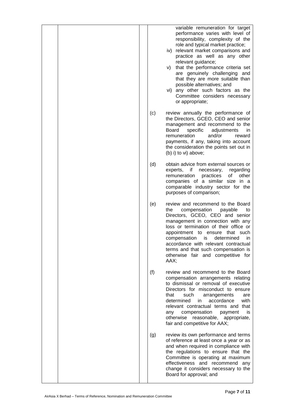|     | variable remuneration for target<br>performance varies with level of<br>responsibility, complexity of the<br>role and typical market practice;<br>iv) relevant market comparisons and<br>practice as well as any other<br>relevant guidance;<br>that the performance criteria set<br>V)<br>are genuinely challenging and<br>that they are more suitable than<br>possible alternatives; and<br>vi) any other such factors as the<br>Committee considers necessary<br>or appropriate; |
|-----|-------------------------------------------------------------------------------------------------------------------------------------------------------------------------------------------------------------------------------------------------------------------------------------------------------------------------------------------------------------------------------------------------------------------------------------------------------------------------------------|
| (c) | review annually the performance of<br>the Directors, GCEO, CEO and senior<br>management and recommend to the<br>specific<br>adjustments<br>Board<br>in.<br>and/or<br>remuneration<br>reward<br>payments, if any, taking into account<br>the consideration the points set out in<br>(b) i) to vi) above;                                                                                                                                                                             |
| (d) | obtain advice from external sources or<br>experts,<br>if<br>necessary,<br>regarding<br>practices<br>of<br>other<br>remuneration<br>companies of a similar size in a<br>comparable industry sector for the<br>purposes of comparison;                                                                                                                                                                                                                                                |
| (e) | review and recommend to the Board<br>compensation<br>the<br>payable<br>to<br>Directors, GCEO, CEO and senior<br>management in connection with any<br>loss or termination of their office or<br>appointment to ensure that such<br>determined<br>compensation<br>is.<br>in<br>accordance with relevant contractual<br>terms and that such compensation is<br>otherwise fair and competitive for<br>AAX;                                                                              |
| (f) | review and recommend to the Board<br>compensation arrangements relating<br>to dismissal or removal of executive<br>Directors for misconduct to ensure<br>that<br>such<br>arrangements<br>are<br>determined<br>in<br>accordance<br>with<br>relevant contractual terms and that<br>compensation<br>payment<br>is<br>any<br>otherwise<br>reasonable, appropriate,<br>fair and competitive for AAX;                                                                                     |
| (g) | review its own performance and terms<br>of reference at least once a year or as<br>and when required in compliance with<br>the regulations to ensure that the<br>Committee is operating at maximum<br>effectiveness and recommend any<br>change it considers necessary to the<br>Board for approval; and                                                                                                                                                                            |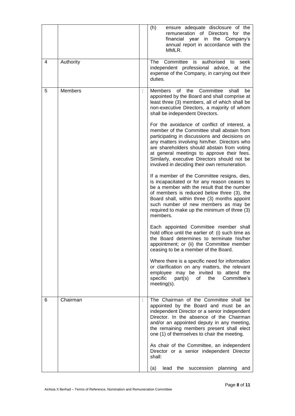|   |                |   | (h)<br>ensure adequate disclosure of the<br>remuneration of Directors for the<br>financial year in the Company's<br>annual report in accordance with the<br>MMLR.                                                                                                                                                                                                                        |
|---|----------------|---|------------------------------------------------------------------------------------------------------------------------------------------------------------------------------------------------------------------------------------------------------------------------------------------------------------------------------------------------------------------------------------------|
| 4 | Authority      |   | Committee is<br>authorised<br>The<br>to<br>seek<br>independent professional advice, at the<br>expense of the Company, in carrying out their<br>duties.                                                                                                                                                                                                                                   |
| 5 | <b>Members</b> | ÷ | Members<br>of<br>the<br>Committee<br>shall<br>be<br>appointed by the Board and shall comprise at<br>least three (3) members, all of which shall be<br>non-executive Directors, a majority of whom<br>shall be independent Directors.                                                                                                                                                     |
|   |                |   | For the avoidance of conflict of interest, a<br>member of the Committee shall abstain from<br>participating in discussions and decisions on<br>any matters involving him/her. Directors who<br>are shareholders should abstain from voting<br>at general meetings to approve their fees.<br>Similarly, executive Directors should not be<br>involved in deciding their own remuneration. |
|   |                |   | If a member of the Committee resigns, dies,<br>is incapacitated or for any reason ceases to<br>be a member with the result that the number<br>of members is reduced below three (3), the<br>Board shall, within three (3) months appoint<br>such number of new members as may be<br>required to make up the minimum of three (3)<br>members.                                             |
|   |                |   | Each appointed Committee member shall<br>hold office until the earlier of: (i) such time as<br>the Board determines to terminate his/her<br>appointment; or (ii) the Committee member<br>ceasing to be a member of the Board.                                                                                                                                                            |
|   |                |   | Where there is a specific need for information<br>or clarification on any matters, the relevant<br>employee may be invited to attend the<br>specific<br>part(s)<br>the<br>of<br>Committee's<br>$meeting(s)$ .                                                                                                                                                                            |
| 6 | Chairman       | ÷ | The Chairman of the Committee shall be<br>appointed by the Board and must be an<br>independent Director or a senior independent<br>Director. In the absence of the Chairman<br>and/or an appointed deputy in any meeting,<br>the remaining members present shall elect<br>one (1) of themselves to chair the meeting.                                                                    |
|   |                |   | As chair of the Committee, an independent<br>Director or a senior independent Director<br>shall:                                                                                                                                                                                                                                                                                         |
|   |                |   | the succession planning<br>(a)<br>lead<br>and                                                                                                                                                                                                                                                                                                                                            |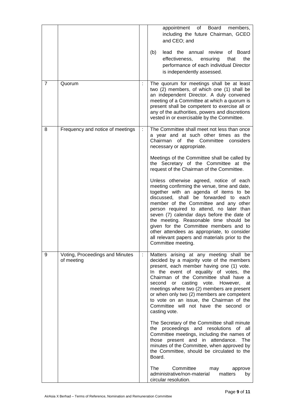|   |                                               |   | Board<br>appointment<br>of<br>members,<br>including the future Chairman, GCEO<br>and CEO; and                                                                                                                                                                                                                                                                                                                                                                                                                            |
|---|-----------------------------------------------|---|--------------------------------------------------------------------------------------------------------------------------------------------------------------------------------------------------------------------------------------------------------------------------------------------------------------------------------------------------------------------------------------------------------------------------------------------------------------------------------------------------------------------------|
|   |                                               |   | (b)<br>lead the annual review of Board<br>effectiveness,<br>that<br>the<br>ensuring<br>performance of each individual Director<br>is independently assessed.                                                                                                                                                                                                                                                                                                                                                             |
| 7 | Quorum                                        |   | The quorum for meetings shall be at least<br>two (2) members, of which one (1) shall be<br>an independent Director. A duly convened<br>meeting of a Committee at which a quorum is<br>present shall be competent to exercise all or<br>any of the authorities, powers and discretions<br>vested in or exercisable by the Committee.                                                                                                                                                                                      |
| 8 | Frequency and notice of meetings              | ÷ | The Committee shall meet not less than once<br>a year and at such other times as the<br>Chairman of the Committee considers<br>necessary or appropriate.                                                                                                                                                                                                                                                                                                                                                                 |
|   |                                               |   | Meetings of the Committee shall be called by<br>the Secretary of the Committee at the<br>request of the Chairman of the Committee.                                                                                                                                                                                                                                                                                                                                                                                       |
|   |                                               |   | Unless otherwise agreed, notice of each<br>meeting confirming the venue, time and date,<br>together with an agenda of items to be<br>discussed, shall be forwarded to each<br>member of the Committee and any other<br>person required to attend, no later than<br>seven (7) calendar days before the date of<br>the meeting. Reasonable time should be<br>given for the Committee members and to<br>other attendees as appropriate, to consider<br>all relevant papers and materials prior to the<br>Committee meeting. |
| 9 | Voting, Proceedings and Minutes<br>of meeting |   | Matters arising at any meeting shall be<br>decided by a majority vote of the members<br>present, each member having one (1) vote.<br>In the event of equality of votes, the<br>Chairman of the Committee shall have a<br>second or casting vote. However,<br>at<br>meetings where two (2) members are present<br>or when only two (2) members are competent<br>to vote on an issue, the Chairman of the<br>Committee will not have the second or<br>casting vote.                                                        |
|   |                                               |   | The Secretary of the Committee shall minute<br>the proceedings and resolutions of all<br>Committee meetings, including the names of<br>those present and in attendance. The<br>minutes of the Committee, when approved by<br>the Committee, should be circulated to the<br>Board.                                                                                                                                                                                                                                        |
|   |                                               |   | Committee<br>The<br>may<br>approve<br>administrative/non-material<br>matters<br>by<br>circular resolution.                                                                                                                                                                                                                                                                                                                                                                                                               |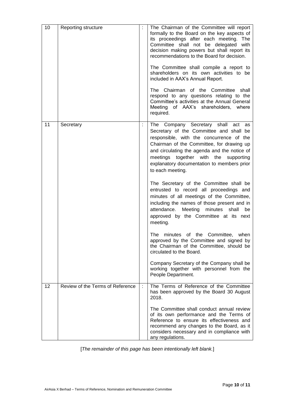| 10 | Reporting structure              | The Chairman of the Committee will report<br>formally to the Board on the key aspects of<br>its proceedings after each meeting. The<br>Committee shall not be delegated with<br>decision making powers but shall report its<br>recommendations to the Board for decision.<br>The Committee shall compile a report to<br>shareholders on its own activities to be<br>included in AAX's Annual Report.<br>The Chairman of the Committee shall<br>respond to any questions relating to the<br>Committee's activities at the Annual General<br>Meeting of AAX's shareholders, where<br>required. |
|----|----------------------------------|----------------------------------------------------------------------------------------------------------------------------------------------------------------------------------------------------------------------------------------------------------------------------------------------------------------------------------------------------------------------------------------------------------------------------------------------------------------------------------------------------------------------------------------------------------------------------------------------|
| 11 | Secretary                        | The Company Secretary shall<br>act<br>as<br>Secretary of the Committee and shall be<br>responsible, with the concurrence of the<br>Chairman of the Committee, for drawing up<br>and circulating the agenda and the notice of<br>meetings together with the<br>supporting<br>explanatory documentation to members prior<br>to each meeting.                                                                                                                                                                                                                                                   |
|    |                                  | The Secretary of the Committee shall be<br>entrusted to record all proceedings and<br>minutes of all meetings of the Committee,<br>including the names of those present and in<br>attendance.<br>Meeting minutes<br>shall<br>be<br>approved by the Committee at its next<br>meeting.                                                                                                                                                                                                                                                                                                         |
|    |                                  | minutes of the Committee,<br>The<br>when<br>approved by the Committee and signed by<br>the Chairman of the Committee, should be<br>circulated to the Board.                                                                                                                                                                                                                                                                                                                                                                                                                                  |
|    |                                  | Company Secretary of the Company shall be<br>working together with personnel from the<br>People Department.                                                                                                                                                                                                                                                                                                                                                                                                                                                                                  |
| 12 | Review of the Terms of Reference | The Terms of Reference of the Committee<br>has been approved by the Board 30 August<br>2018.                                                                                                                                                                                                                                                                                                                                                                                                                                                                                                 |
|    |                                  | The Committee shall conduct annual review<br>of its own performance and the Terms of<br>Reference to ensure its effectiveness and<br>recommend any changes to the Board, as it<br>considers necessary and in compliance with<br>any regulations.                                                                                                                                                                                                                                                                                                                                             |

[*The remainder of this page has been intentionally left blank.*]